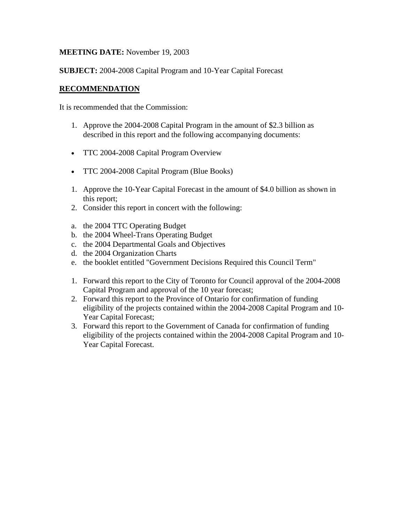#### **MEETING DATE:** November 19, 2003

#### **SUBJECT:** 2004-2008 Capital Program and 10-Year Capital Forecast

#### **RECOMMENDATION**

It is recommended that the Commission:

- 1. Approve the 2004-2008 Capital Program in the amount of \$2.3 billion as described in this report and the following accompanying documents:
- TTC 2004-2008 Capital Program Overview
- TTC 2004-2008 Capital Program (Blue Books)
- 1. Approve the 10-Year Capital Forecast in the amount of \$4.0 billion as shown in this report;
- 2. Consider this report in concert with the following:
- a. the 2004 TTC Operating Budget
- b. the 2004 Wheel-Trans Operating Budget
- c. the 2004 Departmental Goals and Objectives
- d. the 2004 Organization Charts
- e. the booklet entitled "Government Decisions Required this Council Term"
- 1. Forward this report to the City of Toronto for Council approval of the 2004-2008 Capital Program and approval of the 10 year forecast;
- 2. Forward this report to the Province of Ontario for confirmation of funding eligibility of the projects contained within the 2004-2008 Capital Program and 10- Year Capital Forecast;
- 3. Forward this report to the Government of Canada for confirmation of funding eligibility of the projects contained within the 2004-2008 Capital Program and 10- Year Capital Forecast.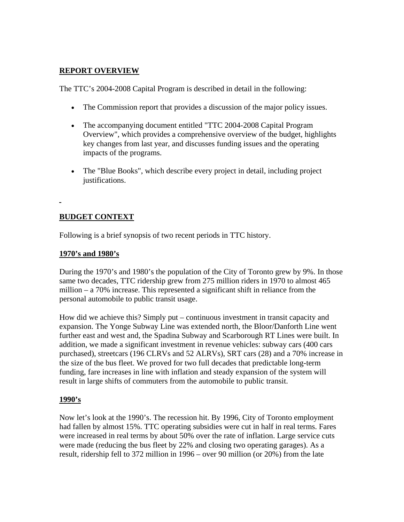### **REPORT OVERVIEW**

The TTC's 2004-2008 Capital Program is described in detail in the following:

- The Commission report that provides a discussion of the major policy issues.
- The accompanying document entitled "TTC 2004-2008 Capital Program Overview", which provides a comprehensive overview of the budget, highlights key changes from last year, and discusses funding issues and the operating impacts of the programs.
- The "Blue Books", which describe every project in detail, including project justifications.

## **BUDGET CONTEXT**

Following is a brief synopsis of two recent periods in TTC history.

#### **1970's and 1980's**

During the 1970's and 1980's the population of the City of Toronto grew by 9%. In those same two decades, TTC ridership grew from 275 million riders in 1970 to almost 465 million – a 70% increase. This represented a significant shift in reliance from the personal automobile to public transit usage.

How did we achieve this? Simply put – continuous investment in transit capacity and expansion. The Yonge Subway Line was extended north, the Bloor/Danforth Line went further east and west and, the Spadina Subway and Scarborough RT Lines were built. In addition, we made a significant investment in revenue vehicles: subway cars (400 cars purchased), streetcars (196 CLRVs and 52 ALRVs), SRT cars (28) and a 70% increase in the size of the bus fleet. We proved for two full decades that predictable long-term funding, fare increases in line with inflation and steady expansion of the system will result in large shifts of commuters from the automobile to public transit.

#### **1990's**

Now let's look at the 1990's. The recession hit. By 1996, City of Toronto employment had fallen by almost 15%. TTC operating subsidies were cut in half in real terms. Fares were increased in real terms by about 50% over the rate of inflation. Large service cuts were made (reducing the bus fleet by 22% and closing two operating garages). As a result, ridership fell to 372 million in 1996 – over 90 million (or 20%) from the late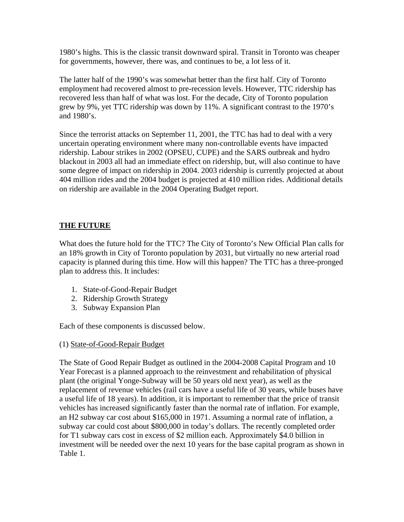1980's highs. This is the classic transit downward spiral. Transit in Toronto was cheaper for governments, however, there was, and continues to be, a lot less of it.

The latter half of the 1990's was somewhat better than the first half. City of Toronto employment had recovered almost to pre-recession levels. However, TTC ridership has recovered less than half of what was lost. For the decade, City of Toronto population grew by 9%, yet TTC ridership was down by 11%. A significant contrast to the 1970's and 1980's.

Since the terrorist attacks on September 11, 2001, the TTC has had to deal with a very uncertain operating environment where many non-controllable events have impacted ridership. Labour strikes in 2002 (OPSEU, CUPE) and the SARS outbreak and hydro blackout in 2003 all had an immediate effect on ridership, but, will also continue to have some degree of impact on ridership in 2004. 2003 ridership is currently projected at about 404 million rides and the 2004 budget is projected at 410 million rides. Additional details on ridership are available in the 2004 Operating Budget report.

#### **THE FUTURE**

What does the future hold for the TTC? The City of Toronto's New Official Plan calls for an 18% growth in City of Toronto population by 2031, but virtually no new arterial road capacity is planned during this time. How will this happen? The TTC has a three-pronged plan to address this. It includes:

- 1. State-of-Good-Repair Budget
- 2. Ridership Growth Strategy
- 3. Subway Expansion Plan

Each of these components is discussed below.

#### (1) State-of-Good-Repair Budget

The State of Good Repair Budget as outlined in the 2004-2008 Capital Program and 10 Year Forecast is a planned approach to the reinvestment and rehabilitation of physical plant (the original Yonge-Subway will be 50 years old next year), as well as the replacement of revenue vehicles (rail cars have a useful life of 30 years, while buses have a useful life of 18 years). In addition, it is important to remember that the price of transit vehicles has increased significantly faster than the normal rate of inflation. For example, an H2 subway car cost about \$165,000 in 1971. Assuming a normal rate of inflation, a subway car could cost about \$800,000 in today's dollars. The recently completed order for T1 subway cars cost in excess of \$2 million each. Approximately \$4.0 billion in investment will be needed over the next 10 years for the base capital program as shown in Table 1.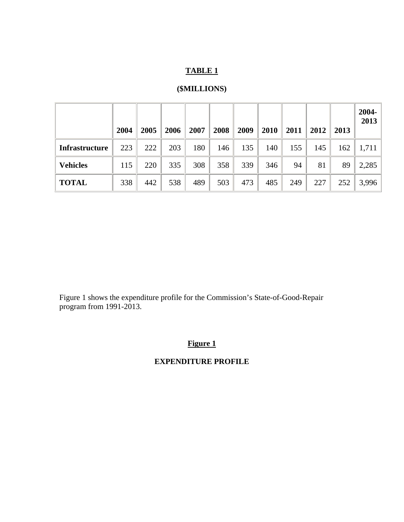# **TABLE 1**

|                       | 2004 | 2005 | 2006 | 2007 | 2008 | 2009 | 2010 | 2011 | 2012 | 2013 | 2004-<br>2013 |
|-----------------------|------|------|------|------|------|------|------|------|------|------|---------------|
| <b>Infrastructure</b> | 223  | 222  | 203  | 180  | 146  | 135  | 140  | 155  | 145  | 162  | 1,711         |
| <b>Vehicles</b>       | 115  | 220  | 335  | 308  | 358  | 339  | 346  | 94   | 81   | 89   | 2,285         |
| <b>TOTAL</b>          | 338  | 442  | 538  | 489  | 503  | 473  | 485  | 249  | 227  | 252  | 3,996         |

# **(\$MILLIONS)**

Figure 1 shows the expenditure profile for the Commission's State-of-Good-Repair program from 1991-2013.

# **Figure 1**

## **EXPENDITURE PROFILE**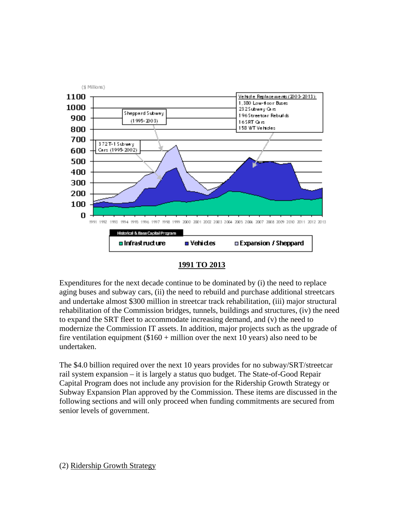

#### **1991 TO 2013**

Expenditures for the next decade continue to be dominated by (i) the need to replace aging buses and subway cars, (ii) the need to rebuild and purchase additional streetcars and undertake almost \$300 million in streetcar track rehabilitation, (iii) major structural rehabilitation of the Commission bridges, tunnels, buildings and structures, (iv) the need to expand the SRT fleet to accommodate increasing demand, and (v) the need to modernize the Commission IT assets. In addition, major projects such as the upgrade of fire ventilation equipment  $(\$160 +$  million over the next 10 years) also need to be undertaken.

The \$4.0 billion required over the next 10 years provides for no subway/SRT/streetcar rail system expansion – it is largely a status quo budget. The State-of-Good Repair Capital Program does not include any provision for the Ridership Growth Strategy or Subway Expansion Plan approved by the Commission. These items are discussed in the following sections and will only proceed when funding commitments are secured from senior levels of government.

#### (2) Ridership Growth Strategy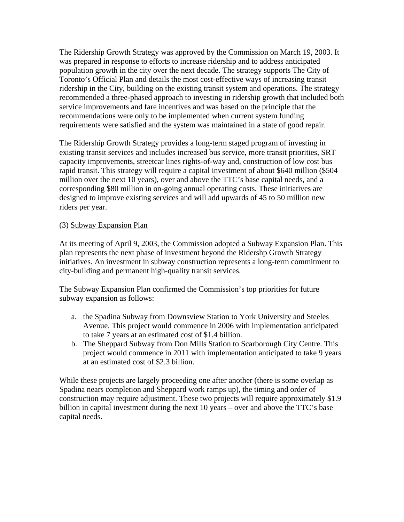The Ridership Growth Strategy was approved by the Commission on March 19, 2003. It was prepared in response to efforts to increase ridership and to address anticipated population growth in the city over the next decade. The strategy supports The City of Toronto's Official Plan and details the most cost-effective ways of increasing transit ridership in the City, building on the existing transit system and operations. The strategy recommended a three-phased approach to investing in ridership growth that included both service improvements and fare incentives and was based on the principle that the recommendations were only to be implemented when current system funding requirements were satisfied and the system was maintained in a state of good repair.

The Ridership Growth Strategy provides a long-term staged program of investing in existing transit services and includes increased bus service, more transit priorities, SRT capacity improvements, streetcar lines rights-of-way and, construction of low cost bus rapid transit. This strategy will require a capital investment of about \$640 million (\$504 million over the next 10 years), over and above the TTC's base capital needs, and a corresponding \$80 million in on-going annual operating costs. These initiatives are designed to improve existing services and will add upwards of 45 to 50 million new riders per year.

#### (3) Subway Expansion Plan

At its meeting of April 9, 2003, the Commission adopted a Subway Expansion Plan. This plan represents the next phase of investment beyond the Ridershp Growth Strategy initiatives. An investment in subway construction represents a long-term commitment to city-building and permanent high-quality transit services.

The Subway Expansion Plan confirmed the Commission's top priorities for future subway expansion as follows:

- a. the Spadina Subway from Downsview Station to York University and Steeles Avenue. This project would commence in 2006 with implementation anticipated to take 7 years at an estimated cost of \$1.4 billion.
- b. The Sheppard Subway from Don Mills Station to Scarborough City Centre. This project would commence in 2011 with implementation anticipated to take 9 years at an estimated cost of \$2.3 billion.

While these projects are largely proceeding one after another (there is some overlap as Spadina nears completion and Sheppard work ramps up), the timing and order of construction may require adjustment. These two projects will require approximately \$1.9 billion in capital investment during the next 10 years – over and above the TTC's base capital needs.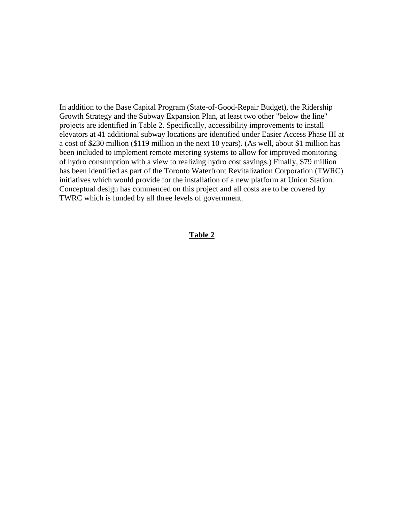In addition to the Base Capital Program (State-of-Good-Repair Budget), the Ridership Growth Strategy and the Subway Expansion Plan, at least two other "below the line" projects are identified in Table 2. Specifically, accessibility improvements to install elevators at 41 additional subway locations are identified under Easier Access Phase III at a cost of \$230 million (\$119 million in the next 10 years). (As well, about \$1 million has been included to implement remote metering systems to allow for improved monitoring of hydro consumption with a view to realizing hydro cost savings.) Finally, \$79 million has been identified as part of the Toronto Waterfront Revitalization Corporation (TWRC) initiatives which would provide for the installation of a new platform at Union Station. Conceptual design has commenced on this project and all costs are to be covered by TWRC which is funded by all three levels of government.

#### **Table 2**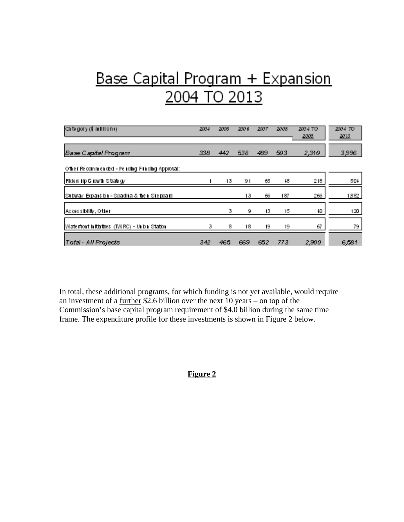# Base Capital Program + Expansion 2004 TO 2013

| Category (\$ millions)                        | 2004 | 2005 | 2008 | 2007 | 2008 | 2004 TO<br>2008 | 2004 TO<br>2013 |
|-----------------------------------------------|------|------|------|------|------|-----------------|-----------------|
| Base Capital Program                          | 338  | 442  | 538  | 489  | 503  | 2,310           | 3,996           |
| Other Recommended - Pending Punding Approval: |      |      |      |      |      |                 |                 |
| Rklership Growth Strategy                     |      | 13   | 91   | 65   | 48   | 218             | 504             |
| Stoway Expansibli - Spadha & the ri Sheppard  |      |      | 13   | 66   | 187  | 266             | 1,882           |
| Accessibility, Other                          |      | з    | 9    | 13   | 15   | 40              | 120             |
| Waterhort littatues (TWRC) - Urbi Station     | з    | 8    | 18   | 19   | 19   | 67              | 79              |
| Total - All Projects                          | 342  | 465  | 669  | 652  | 773  | 2,900           | 6,581           |

In total, these additional programs, for which funding is not yet available, would require an investment of a further \$2.6 billion over the next 10 years – on top of the Commission's base capital program requirement of \$4.0 billion during the same time frame. The expenditure profile for these investments is shown in Figure 2 below.

**Figure 2**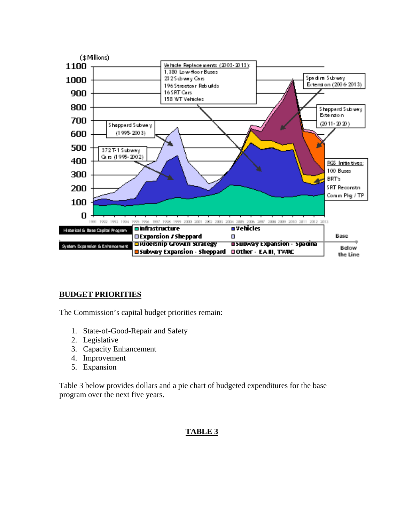

#### **BUDGET PRIORITIES**

The Commission's capital budget priorities remain:

- 1. State-of-Good-Repair and Safety
- 2. Legislative
- 3. Capacity Enhancement
- 4. Improvement
- 5. Expansion

Table 3 below provides dollars and a pie chart of budgeted expenditures for the base program over the next five years.

#### **TABLE 3**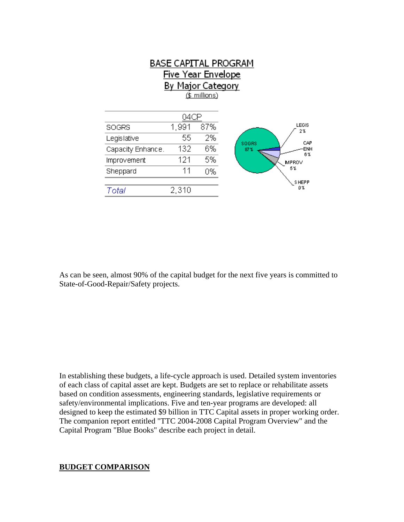# **BASE CAPITAL PROGRAM** Five Year Envelope By Major Category  $$$  millions)

|                   | 04C   |     |                  |
|-------------------|-------|-----|------------------|
| <b>SOGRS</b>      | 1,991 | 87% | LEGIS<br>$2\%$   |
| Legislative       | 55    | 2%  | CAP<br>SOGRS     |
| Capacity Enhance. | 132   | 6%  | ENH<br>87%<br>6% |
| Improvement       | 121   | 5%  | MPROV            |
| Sheppard          | 11    | 0%  | 5%               |
|                   |       |     | SHEPP            |
| Total             | 2,310 |     | ۵X               |

As can be seen, almost 90% of the capital budget for the next five years is committed to State-of-Good-Repair/Safety projects.

In establishing these budgets, a life-cycle approach is used. Detailed system inventories of each class of capital asset are kept. Budgets are set to replace or rehabilitate assets based on condition assessments, engineering standards, legislative requirements or safety/environmental implications. Five and ten-year programs are developed: all designed to keep the estimated \$9 billion in TTC Capital assets in proper working order. The companion report entitled "TTC 2004-2008 Capital Program Overview" and the Capital Program "Blue Books" describe each project in detail.

#### **BUDGET COMPARISON**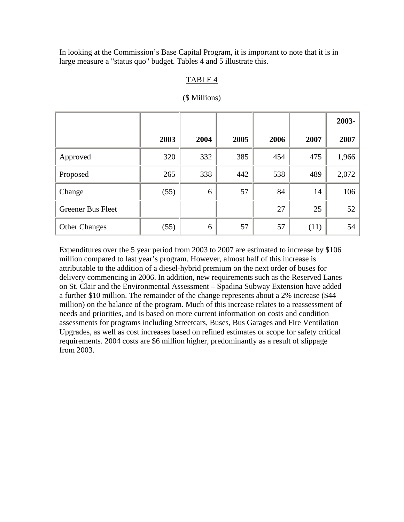In looking at the Commission's Base Capital Program, it is important to note that it is in large measure a "status quo" budget. Tables 4 and 5 illustrate this.

#### TABLE 4

#### (\$ Millions)

|                      |      |      |      |      |      | 2003- |
|----------------------|------|------|------|------|------|-------|
|                      | 2003 | 2004 | 2005 | 2006 | 2007 | 2007  |
| Approved             | 320  | 332  | 385  | 454  | 475  | 1,966 |
| Proposed             | 265  | 338  | 442  | 538  | 489  | 2,072 |
| Change               | (55) | 6    | 57   | 84   | 14   | 106   |
| Greener Bus Fleet    |      |      |      | 27   | 25   | 52    |
| <b>Other Changes</b> | (55) | 6    | 57   | 57   | (11) | 54    |

Expenditures over the 5 year period from 2003 to 2007 are estimated to increase by \$106 million compared to last year's program. However, almost half of this increase is attributable to the addition of a diesel-hybrid premium on the next order of buses for delivery commencing in 2006. In addition, new requirements such as the Reserved Lanes on St. Clair and the Environmental Assessment – Spadina Subway Extension have added a further \$10 million. The remainder of the change represents about a 2% increase (\$44 million) on the balance of the program. Much of this increase relates to a reassessment of needs and priorities, and is based on more current information on costs and condition assessments for programs including Streetcars, Buses, Bus Garages and Fire Ventilation Upgrades, as well as cost increases based on refined estimates or scope for safety critical requirements. 2004 costs are \$6 million higher, predominantly as a result of slippage from 2003.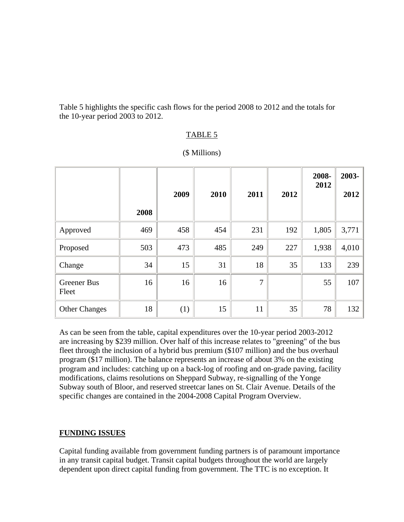Table 5 highlights the specific cash flows for the period 2008 to 2012 and the totals for the 10-year period 2003 to 2012.

#### TABLE 5

#### (\$ Millions)

|                             |      | 2009 | 2010 | 2011 | 2012 | 2008-<br>2012 | 2003-<br>2012 |
|-----------------------------|------|------|------|------|------|---------------|---------------|
|                             | 2008 |      |      |      |      |               |               |
| Approved                    | 469  | 458  | 454  | 231  | 192  | 1,805         | 3,771         |
| Proposed                    | 503  | 473  | 485  | 249  | 227  | 1,938         | 4,010         |
| Change                      | 34   | 15   | 31   | 18   | 35   | 133           | 239           |
| <b>Greener Bus</b><br>Fleet | 16   | 16   | 16   | 7    |      | 55            | 107           |
| <b>Other Changes</b>        | 18   | (1)  | 15   | 11   | 35   | 78            | 132           |

As can be seen from the table, capital expenditures over the 10-year period 2003-2012 are increasing by \$239 million. Over half of this increase relates to "greening" of the bus fleet through the inclusion of a hybrid bus premium (\$107 million) and the bus overhaul program (\$17 million). The balance represents an increase of about 3% on the existing program and includes: catching up on a back-log of roofing and on-grade paving, facility modifications, claims resolutions on Sheppard Subway, re-signalling of the Yonge Subway south of Bloor, and reserved streetcar lanes on St. Clair Avenue. Details of the specific changes are contained in the 2004-2008 Capital Program Overview.

#### **FUNDING ISSUES**

Capital funding available from government funding partners is of paramount importance in any transit capital budget. Transit capital budgets throughout the world are largely dependent upon direct capital funding from government. The TTC is no exception. It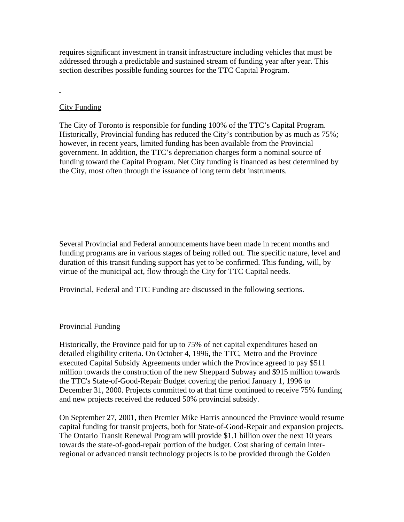requires significant investment in transit infrastructure including vehicles that must be addressed through a predictable and sustained stream of funding year after year. This section describes possible funding sources for the TTC Capital Program.

#### City Funding

The City of Toronto is responsible for funding 100% of the TTC's Capital Program. Historically, Provincial funding has reduced the City's contribution by as much as 75%; however, in recent years, limited funding has been available from the Provincial government. In addition, the TTC's depreciation charges form a nominal source of funding toward the Capital Program. Net City funding is financed as best determined by the City, most often through the issuance of long term debt instruments.

Several Provincial and Federal announcements have been made in recent months and funding programs are in various stages of being rolled out. The specific nature, level and duration of this transit funding support has yet to be confirmed. This funding, will, by virtue of the municipal act, flow through the City for TTC Capital needs.

Provincial, Federal and TTC Funding are discussed in the following sections.

#### Provincial Funding

Historically, the Province paid for up to 75% of net capital expenditures based on detailed eligibility criteria. On October 4, 1996, the TTC, Metro and the Province executed Capital Subsidy Agreements under which the Province agreed to pay \$511 million towards the construction of the new Sheppard Subway and \$915 million towards the TTC's State-of-Good-Repair Budget covering the period January 1, 1996 to December 31, 2000. Projects committed to at that time continued to receive 75% funding and new projects received the reduced 50% provincial subsidy.

On September 27, 2001, then Premier Mike Harris announced the Province would resume capital funding for transit projects, both for State-of-Good-Repair and expansion projects. The Ontario Transit Renewal Program will provide \$1.1 billion over the next 10 years towards the state-of-good-repair portion of the budget. Cost sharing of certain interregional or advanced transit technology projects is to be provided through the Golden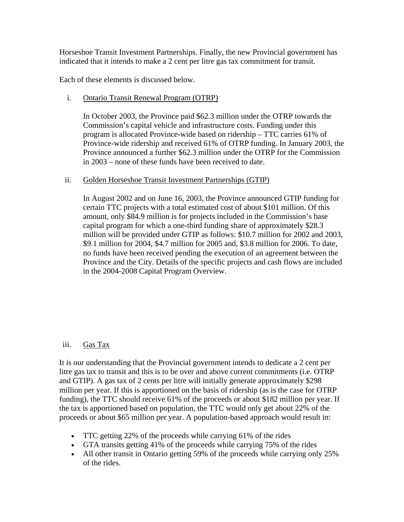Horseshoe Transit Investment Partnerships. Finally, the new Provincial government has indicated that it intends to make a 2 cent per litre gas tax commitment for transit.

Each of these elements is discussed below.

#### i. Ontario Transit Renewal Program (OTRP)

In October 2003, the Province paid \$62.3 million under the OTRP towards the Commission's capital vehicle and infrastructure costs. Funding under this program is allocated Province-wide based on ridership – TTC carries 61% of Province-wide ridership and received 61% of OTRP funding. In January 2003, the Province announced a further \$62.3 million under the OTRP for the Commission in 2003 – none of these funds have been received to date.

#### ii. Golden Horseshoe Transit Investment Partnerships (GTIP)

In August 2002 and on June 16, 2003, the Province announced GTIP funding for certain TTC projects with a total estimated cost of about \$101 million. Of this amount, only \$84.9 million is for projects included in the Commission's base capital program for which a one-third funding share of approximately \$28.3 million will be provided under GTIP as follows: \$10.7 million for 2002 and 2003, \$9.1 million for 2004, \$4.7 million for 2005 and, \$3.8 million for 2006. To date, no funds have been received pending the execution of an agreement between the Province and the City. Details of the specific projects and cash flows are included in the 2004-2008 Capital Program Overview.

#### iii. Gas Tax

It is our understanding that the Provincial government intends to dedicate a 2 cent per litre gas tax to transit and this is to be over and above current commitments (i.e. OTRP and GTIP). A gas tax of 2 cents per litre will initially generate approximately \$298 million per year. If this is apportioned on the basis of ridership (as is the case for OTRP funding), the TTC should receive 61% of the proceeds or about \$182 million per year. If the tax is apportioned based on population, the TTC would only get about 22% of the proceeds or about \$65 million per year. A population-based approach would result in:

- TTC getting 22% of the proceeds while carrying 61% of the rides
- GTA transits getting 41% of the proceeds while carrying 75% of the rides
- All other transit in Ontario getting 59% of the proceeds while carrying only 25% of the rides.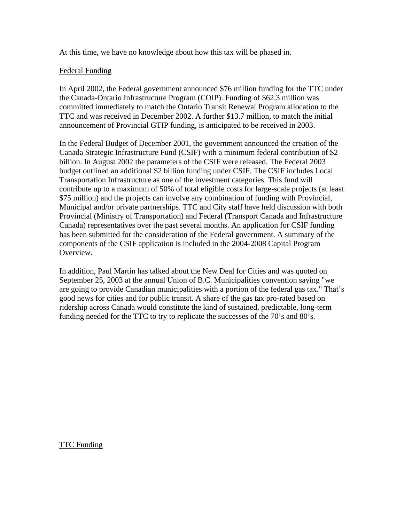At this time, we have no knowledge about how this tax will be phased in.

#### Federal Funding

In April 2002, the Federal government announced \$76 million funding for the TTC under the Canada-Ontario Infrastructure Program (COIP). Funding of \$62.3 million was committed immediately to match the Ontario Transit Renewal Program allocation to the TTC and was received in December 2002. A further \$13.7 million, to match the initial announcement of Provincial GTIP funding, is anticipated to be received in 2003.

In the Federal Budget of December 2001, the government announced the creation of the Canada Strategic Infrastructure Fund (CSIF) with a minimum federal contribution of \$2 billion. In August 2002 the parameters of the CSIF were released. The Federal 2003 budget outlined an additional \$2 billion funding under CSIF. The CSIF includes Local Transportation Infrastructure as one of the investment categories. This fund will contribute up to a maximum of 50% of total eligible costs for large-scale projects (at least \$75 million) and the projects can involve any combination of funding with Provincial, Municipal and/or private partnerships. TTC and City staff have held discussion with both Provincial (Ministry of Transportation) and Federal (Transport Canada and Infrastructure Canada) representatives over the past several months. An application for CSIF funding has been submitted for the consideration of the Federal government. A summary of the components of the CSIF application is included in the 2004-2008 Capital Program Overview.

In addition, Paul Martin has talked about the New Deal for Cities and was quoted on September 25, 2003 at the annual Union of B.C. Municipalities convention saying "we are going to provide Canadian municipalities with a portion of the federal gas tax." That's good news for cities and for public transit. A share of the gas tax pro-rated based on ridership across Canada would constitute the kind of sustained, predictable, long-term funding needed for the TTC to try to replicate the successes of the 70's and 80's.

TTC Funding